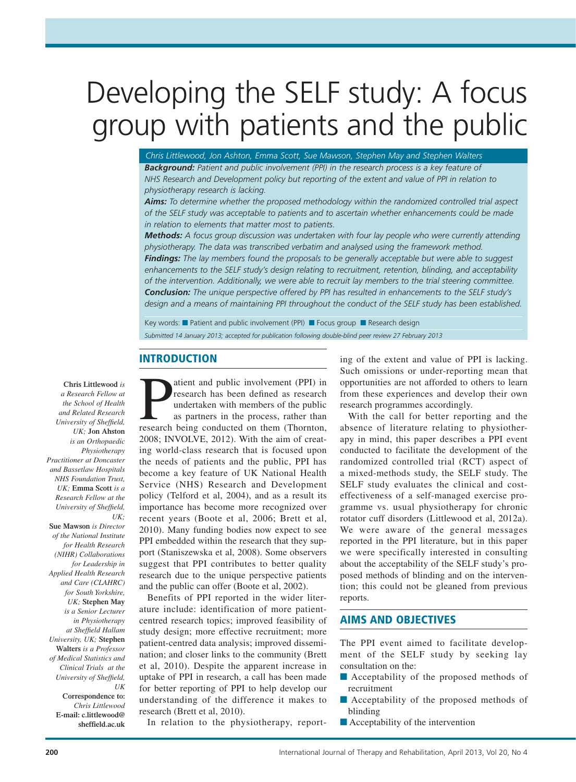# Developing the SELF study: A focus group with patients and the public

*Background: Patient and public involvement (PPI) in the research process is a key feature of NHS Research and Development policy but reporting of the extent and value of PPI in relation to Chris Littlewood, Jon Ashton, Emma Scott, Sue Mawson, Stephen May and Stephen Walters*

*physiotherapy research is lacking.* 

*Aims: To determine whether the proposed methodology within the randomized controlled trial aspect of the SELF study was acceptable to patients and to ascertain whether enhancements could be made in relation to elements that matter most to patients.*

*Methods: A focus group discussion was undertaken with four lay people who were currently attending physiotherapy. The data was transcribed verbatim and analysed using the framework method. Findings: The lay members found the proposals to be generally acceptable but were able to suggest enhancements to the SELF study's design relating to recruitment, retention, blinding, and acceptability of the intervention. Additionally, we were able to recruit lay members to the trial steering committee. Conclusion: The unique perspective offered by PPI has resulted in enhancements to the SELF study's design and a means of maintaining PPI throughout the conduct of the SELF study has been established.* 

Key words: Patient and public involvement (PPI) Focus group Research design *Submitted 14 January 2013; accepted for publication following double-blind peer review 27 February 2013* 

# INTRODUCTION

*a Research Fellow at the School of Health and Related Research University of Sheffield, UK;* **Jon Ahston** *is an Orthopaedic Physiotherapy Practitioner at Doncaster and Bassetlaw Hospitals NHS Foundation Trust, UK;* **Emma Scott** *is a Research Fellow at the University of Sheffield, UK;*  **Sue Mawson** *is Director of the National Institute for Health Research (NIHR) Collaborations for Leadership in Applied Health Research and Care (CLAHRC) for South Yorkshire, UK;* **Stephen May**  *is a Senior Lecturer in Physiotherapy at Sheffield Hallam University, UK;* **Stephen Walters** *is a Professor of Medical Statistics and Clinical Trials at the University of Sheffield, UK* 

**Chris Littlewood** *is* 

**Correspondence to:**  *Chris Littlewood*  **E-mail: c.littlewood@ sheffield.ac.uk**

atient and public involvement (PPI) in research has been defined as research undertaken with members of the public as partners in the process, rather than research being conducted on them (Thornton, research has been defined as research undertaken with members of the public as partners in the process, rather than 2008; INVOLVE, 2012). With the aim of creating world-class research that is focused upon the needs of patients and the public, PPI has become a key feature of UK National Health Service (NHS) Research and Development policy (Telford et al, 2004), and as a result its importance has become more recognized over recent years (Boote et al, 2006; Brett et al, 2010). Many funding bodies now expect to see PPI embedded within the research that they support (Staniszewska et al, 2008). Some observers suggest that PPI contributes to better quality research due to the unique perspective patients and the public can offer (Boote et al, 2002).

Benefits of PPI reported in the wider literature include: identification of more patientcentred research topics; improved feasibility of study design; more effective recruitment; more patient-centred data analysis; improved dissemination; and closer links to the community (Brett et al, 2010). Despite the apparent increase in uptake of PPI in research, a call has been made for better reporting of PPI to help develop our understanding of the difference it makes to research (Brett et al, 2010).

In relation to the physiotherapy, report-

ing of the extent and value of PPI is lacking. Such omissions or under-reporting mean that opportunities are not afforded to others to learn from these experiences and develop their own research programmes accordingly.

With the call for better reporting and the absence of literature relating to physiotherapy in mind, this paper describes a PPI event conducted to facilitate the development of the randomized controlled trial (RCT) aspect of a mixed-methods study, the SELF study. The SELF study evaluates the clinical and costeffectiveness of a self-managed exercise programme vs. usual physiotherapy for chronic rotator cuff disorders (Littlewood et al, 2012a). We were aware of the general messages reported in the PPI literature, but in this paper we were specifically interested in consulting about the acceptability of the SELF study's proposed methods of blinding and on the intervention; this could not be gleaned from previous reports.

# AIMS AND OBJECTIVES

The PPI event aimed to facilitate development of the SELF study by seeking lay consultation on the:

- $\blacksquare$  Acceptability of the proposed methods of recruitment
- $\blacksquare$  Acceptability of the proposed methods of blinding
- $\blacksquare$  Acceptability of the intervention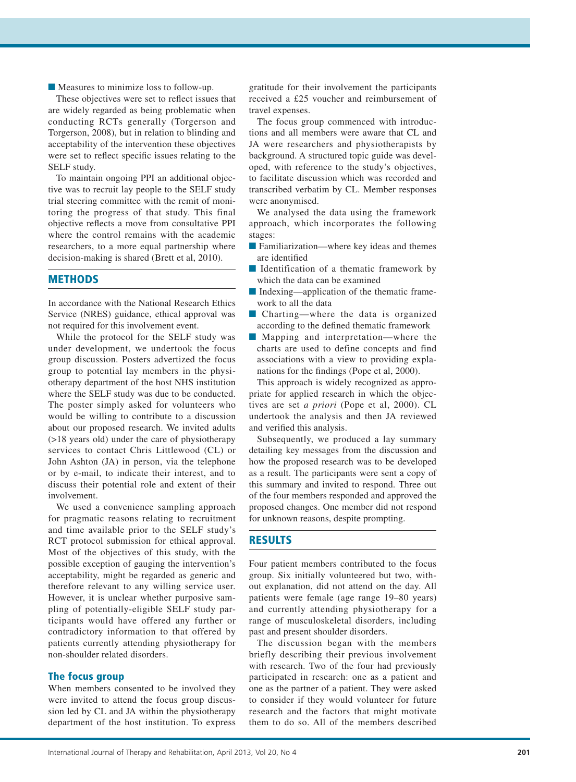■ Measures to minimize loss to follow-up.

These objectives were set to reflect issues that are widely regarded as being problematic when conducting RCTs generally (Torgerson and Torgerson, 2008), but in relation to blinding and acceptability of the intervention these objectives were set to reflect specific issues relating to the SELF study.

To maintain ongoing PPI an additional objective was to recruit lay people to the SELF study trial steering committee with the remit of monitoring the progress of that study. This final objective reflects a move from consultative PPI where the control remains with the academic researchers, to a more equal partnership where decision-making is shared (Brett et al, 2010).

# **METHODS**

In accordance with the National Research Ethics Service (NRES) guidance, ethical approval was not required for this involvement event.

While the protocol for the SELF study was under development, we undertook the focus group discussion. Posters advertized the focus group to potential lay members in the physiotherapy department of the host NHS institution where the SELF study was due to be conducted. The poster simply asked for volunteers who would be willing to contribute to a discussion about our proposed research. We invited adults (>18 years old) under the care of physiotherapy services to contact Chris Littlewood (CL) or John Ashton (JA) in person, via the telephone or by e-mail, to indicate their interest, and to discuss their potential role and extent of their involvement.

We used a convenience sampling approach for pragmatic reasons relating to recruitment and time available prior to the SELF study's RCT protocol submission for ethical approval. Most of the objectives of this study, with the possible exception of gauging the intervention's acceptability, might be regarded as generic and therefore relevant to any willing service user. However, it is unclear whether purposive sampling of potentially-eligible SELF study participants would have offered any further or contradictory information to that offered by patients currently attending physiotherapy for non-shoulder related disorders.

#### The focus group

When members consented to be involved they were invited to attend the focus group discussion led by CL and JA within the physiotherapy department of the host institution. To express

gratitude for their involvement the participants received a £25 voucher and reimbursement of travel expenses.

The focus group commenced with introductions and all members were aware that CL and JA were researchers and physiotherapists by background. A structured topic guide was developed, with reference to the study's objectives, to facilitate discussion which was recorded and transcribed verbatim by CL. Member responses were anonymised.

We analysed the data using the framework approach, which incorporates the following stages:

- Familiarization—where key ideas and themes are identified
- $\blacksquare$  Identification of a thematic framework by which the data can be examined
- $\blacksquare$  Indexing—application of the thematic framework to all the data
- $\blacksquare$  Charting—where the data is organized according to the defined thematic framework
- Mapping and interpretation—where the charts are used to define concepts and find associations with a view to providing explanations for the findings (Pope et al, 2000).

This approach is widely recognized as appropriate for applied research in which the objectives are set *a priori* (Pope et al, 2000). CL undertook the analysis and then JA reviewed and verified this analysis.

Subsequently, we produced a lay summary detailing key messages from the discussion and how the proposed research was to be developed as a result. The participants were sent a copy of this summary and invited to respond. Three out of the four members responded and approved the proposed changes. One member did not respond for unknown reasons, despite prompting.

#### RESULTS

Four patient members contributed to the focus group. Six initially volunteered but two, without explanation, did not attend on the day. All patients were female (age range 19–80 years) and currently attending physiotherapy for a range of musculoskeletal disorders, including past and present shoulder disorders.

The discussion began with the members briefly describing their previous involvement with research. Two of the four had previously participated in research: one as a patient and one as the partner of a patient. They were asked to consider if they would volunteer for future research and the factors that might motivate them to do so. All of the members described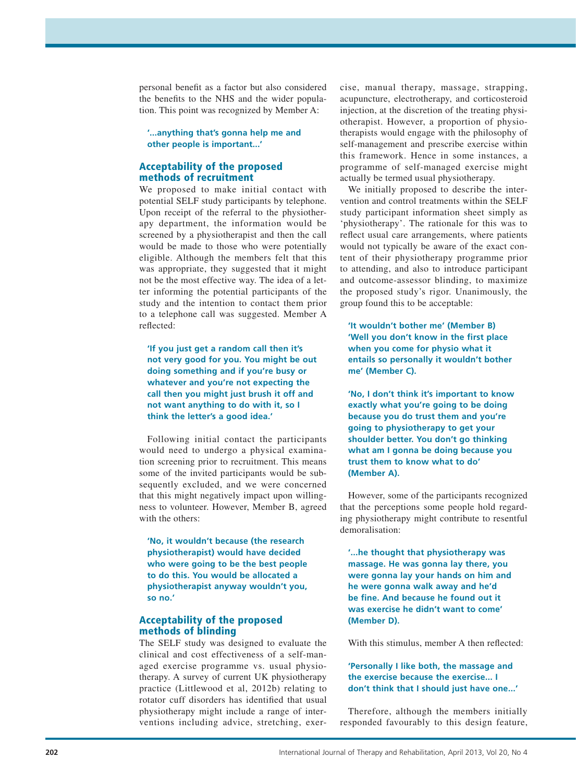personal benefit as a factor but also considered the benefits to the NHS and the wider population. This point was recognized by Member A:

**'...anything that's gonna help me and other people is important...'**

#### Acceptability of the proposed methods of recruitment

We proposed to make initial contact with potential SELF study participants by telephone. Upon receipt of the referral to the physiotherapy department, the information would be screened by a physiotherapist and then the call would be made to those who were potentially eligible. Although the members felt that this was appropriate, they suggested that it might not be the most effective way. The idea of a letter informing the potential participants of the study and the intention to contact them prior to a telephone call was suggested. Member A reflected:

**'If you just get a random call then it's not very good for you. You might be out doing something and if you're busy or whatever and you're not expecting the call then you might just brush it off and not want anything to do with it, so I think the letter's a good idea.'**

Following initial contact the participants would need to undergo a physical examination screening prior to recruitment. This means some of the invited participants would be subsequently excluded, and we were concerned that this might negatively impact upon willingness to volunteer. However, Member B, agreed with the others:

**'No, it wouldn't because (the research physiotherapist) would have decided who were going to be the best people to do this. You would be allocated a physiotherapist anyway wouldn't you, so no.'**

# Acceptability of the proposed methods of blinding

The SELF study was designed to evaluate the clinical and cost effectiveness of a self-managed exercise programme vs. usual physiotherapy. A survey of current UK physiotherapy practice (Littlewood et al, 2012b) relating to rotator cuff disorders has identified that usual physiotherapy might include a range of interventions including advice, stretching, exercise, manual therapy, massage, strapping, acupuncture, electrotherapy, and corticosteroid injection, at the discretion of the treating physiotherapist. However, a proportion of physiotherapists would engage with the philosophy of self-management and prescribe exercise within this framework. Hence in some instances, a programme of self-managed exercise might actually be termed usual physiotherapy.

We initially proposed to describe the intervention and control treatments within the SELF study participant information sheet simply as 'physiotherapy'. The rationale for this was to reflect usual care arrangements, where patients would not typically be aware of the exact content of their physiotherapy programme prior to attending, and also to introduce participant and outcome-assessor blinding, to maximize the proposed study's rigor. Unanimously, the group found this to be acceptable:

**'It wouldn't bother me' (Member B) 'Well you don't know in the first place when you come for physio what it entails so personally it wouldn't bother me' (Member C).**

**'No, I don't think it's important to know exactly what you're going to be doing because you do trust them and you're going to physiotherapy to get your shoulder better. You don't go thinking what am I gonna be doing because you trust them to know what to do' (Member A).**

However, some of the participants recognized that the perceptions some people hold regarding physiotherapy might contribute to resentful demoralisation:

**'...he thought that physiotherapy was massage. He was gonna lay there, you were gonna lay your hands on him and he were gonna walk away and he'd be fine. And because he found out it was exercise he didn't want to come' (Member D).**

With this stimulus, member A then reflected:

**'Personally I like both, the massage and the exercise because the exercise... I don't think that I should just have one...'**

Therefore, although the members initially responded favourably to this design feature,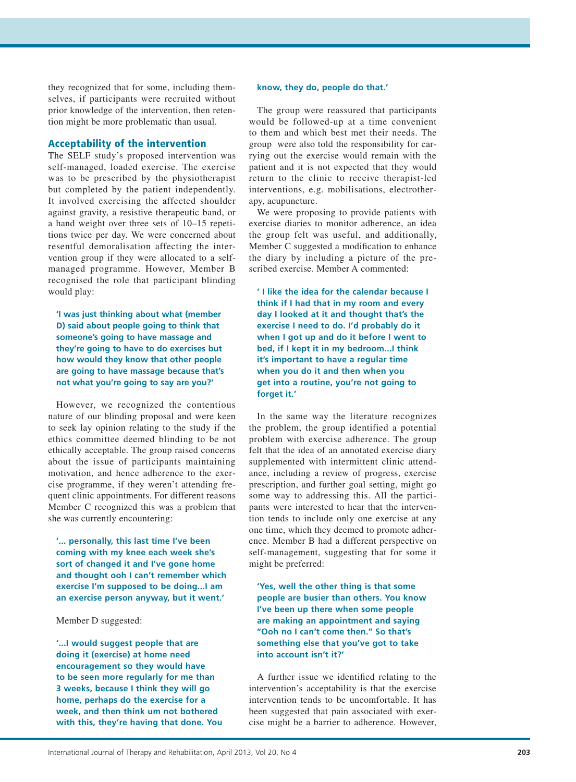they recognized that for some, including themselves, if participants were recruited without prior knowledge of the intervention, then retention might be more problematic than usual.

#### Acceptability of the intervention

The SELF study's proposed intervention was self-managed, loaded exercise. The exercise was to be prescribed by the physiotherapist but completed by the patient independently. It involved exercising the affected shoulder against gravity, a resistive therapeutic band, or a hand weight over three sets of 10–15 repetitions twice per day. We were concerned about resentful demoralisation affecting the intervention group if they were allocated to a selfmanaged programme. However, Member B recognised the role that participant blinding would play:

**'I was just thinking about what (member D) said about people going to think that someone's going to have massage and they're going to have to do exercises but how would they know that other people are going to have massage because that's not what you're going to say are you?'**

However, we recognized the contentious nature of our blinding proposal and were keen to seek lay opinion relating to the study if the ethics committee deemed blinding to be not ethically acceptable. The group raised concerns about the issue of participants maintaining motivation, and hence adherence to the exercise programme, if they weren't attending frequent clinic appointments. For different reasons Member C recognized this was a problem that she was currently encountering:

**'... personally, this last time I've been coming with my knee each week she's sort of changed it and I've gone home and thought ooh I can't remember which exercise I'm supposed to be doing...I am an exercise person anyway, but it went.'**

#### Member D suggested:

**'...I would suggest people that are doing it (exercise) at home need encouragement so they would have to be seen more regularly for me than 3 weeks, because I think they will go home, perhaps do the exercise for a week, and then think um not bothered with this, they're having that done. You** 

#### **know, they do, people do that.'**

The group were reassured that participants would be followed-up at a time convenient to them and which best met their needs. The group were also told the responsibility for carrying out the exercise would remain with the patient and it is not expected that they would return to the clinic to receive therapist-led interventions, e.g. mobilisations, electrotherapy, acupuncture.

We were proposing to provide patients with exercise diaries to monitor adherence, an idea the group felt was useful, and additionally, Member C suggested a modification to enhance the diary by including a picture of the prescribed exercise. Member A commented:

**' I like the idea for the calendar because I think if I had that in my room and every day I looked at it and thought that's the exercise I need to do. I'd probably do it when I got up and do it before I went to bed, if I kept it in my bedroom...I think it's important to have a regular time when you do it and then when you get into a routine, you're not going to forget it.'**

In the same way the literature recognizes the problem, the group identified a potential problem with exercise adherence. The group felt that the idea of an annotated exercise diary supplemented with intermittent clinic attendance, including a review of progress, exercise prescription, and further goal setting, might go some way to addressing this. All the participants were interested to hear that the intervention tends to include only one exercise at any one time, which they deemed to promote adherence. Member B had a different perspective on self-management, suggesting that for some it might be preferred:

**'Yes, well the other thing is that some people are busier than others. You know I've been up there when some people are making an appointment and saying "Ooh no I can't come then." So that's something else that you've got to take into account isn't it?'**

A further issue we identified relating to the intervention's acceptability is that the exercise intervention tends to be uncomfortable. It has been suggested that pain associated with exercise might be a barrier to adherence. However,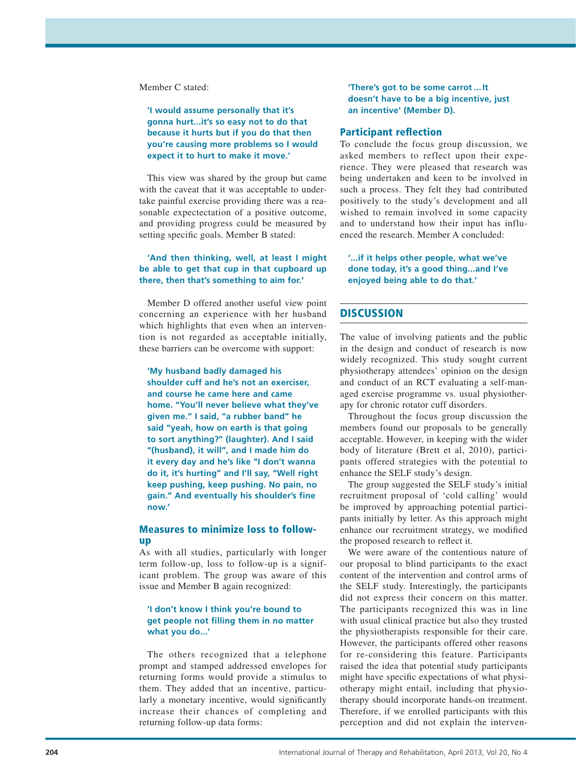#### Member C stated:

## **'I would assume personally that it's gonna hurt...it's so easy not to do that because it hurts but if you do that then you're causing more problems so I would expect it to hurt to make it move.'**

This view was shared by the group but came with the caveat that it was acceptable to undertake painful exercise providing there was a reasonable expectectation of a positive outcome, and providing progress could be measured by setting specific goals. Member B stated:

#### **'And then thinking, well, at least I might be able to get that cup in that cupboard up there, then that's something to aim for.'**

Member D offered another useful view point concerning an experience with her husband which highlights that even when an intervention is not regarded as acceptable initially, these barriers can be overcome with support:

# **'My husband badly damaged his shoulder cuff and he's not an exerciser, and course he came here and came home. "You'll never believe what they've given me." I said, "a rubber band" he said "yeah, how on earth is that going to sort anything?" (laughter). And I said "(husband), it will", and I made him do it every day and he's like "I don't wanna do it, it's hurting" and I'll say, "Well right keep pushing, keep pushing. No pain, no gain." And eventually his shoulder's fine now.'**

# Measures to minimize loss to followup

As with all studies, particularly with longer term follow-up, loss to follow-up is a significant problem. The group was aware of this issue and Member B again recognized:

#### **'I don't know I think you're bound to get people not filling them in no matter what you do...'**

The others recognized that a telephone prompt and stamped addressed envelopes for returning forms would provide a stimulus to them. They added that an incentive, particularly a monetary incentive, would significantly increase their chances of completing and returning follow-up data forms:

**'There's got to be some carrot ... It doesn't have to be a big incentive, just an incentive' (Member D).** 

#### Participant reflection

To conclude the focus group discussion, we asked members to reflect upon their experience. They were pleased that research was being undertaken and keen to be involved in such a process. They felt they had contributed positively to the study's development and all wished to remain involved in some capacity and to understand how their input has influenced the research. Member A concluded:

**'...if it helps other people, what we've done today, it's a good thing...and I've enjoyed being able to do that.'** 

### **DISCUSSION**

The value of involving patients and the public in the design and conduct of research is now widely recognized. This study sought current physiotherapy attendees' opinion on the design and conduct of an RCT evaluating a self-managed exercise programme vs. usual physiotherapy for chronic rotator cuff disorders.

Throughout the focus group discussion the members found our proposals to be generally acceptable. However, in keeping with the wider body of literature (Brett et al, 2010), participants offered strategies with the potential to enhance the SELF study's design.

The group suggested the SELF study's initial recruitment proposal of 'cold calling' would be improved by approaching potential participants initially by letter. As this approach might enhance our recruitment strategy, we modified the proposed research to reflect it.

We were aware of the contentious nature of our proposal to blind participants to the exact content of the intervention and control arms of the SELF study. Interestingly, the participants did not express their concern on this matter. The participants recognized this was in line with usual clinical practice but also they trusted the physiotherapists responsible for their care. However, the participants offered other reasons for re-considering this feature. Participants raised the idea that potential study participants might have specific expectations of what physiotherapy might entail, including that physiotherapy should incorporate hands-on treatment. Therefore, if we enrolled participants with this perception and did not explain the interven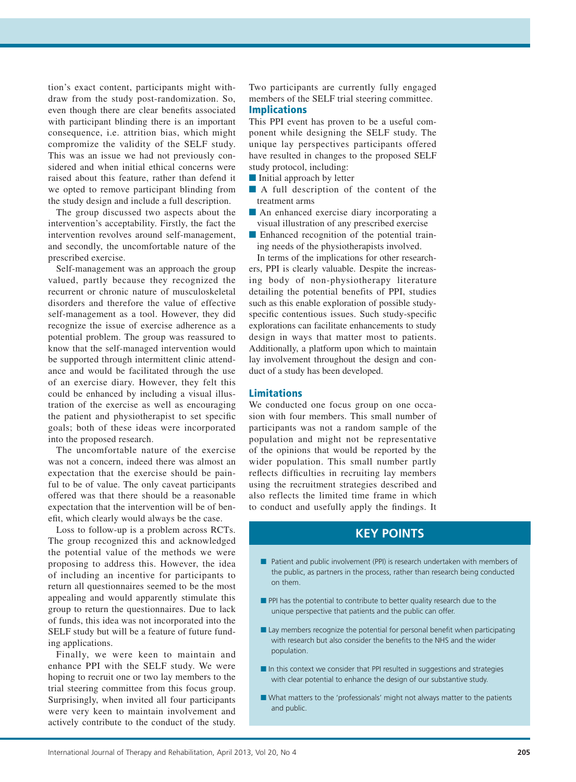tion's exact content, participants might withdraw from the study post-randomization. So, even though there are clear benefits associated with participant blinding there is an important consequence, i.e. attrition bias, which might compromize the validity of the SELF study. This was an issue we had not previously considered and when initial ethical concerns were raised about this feature, rather than defend it we opted to remove participant blinding from the study design and include a full description.

The group discussed two aspects about the intervention's acceptability. Firstly, the fact the intervention revolves around self-management, and secondly, the uncomfortable nature of the prescribed exercise.

Self-management was an approach the group valued, partly because they recognized the recurrent or chronic nature of musculoskeletal disorders and therefore the value of effective self-management as a tool. However, they did recognize the issue of exercise adherence as a potential problem. The group was reassured to know that the self-managed intervention would be supported through intermittent clinic attendance and would be facilitated through the use of an exercise diary. However, they felt this could be enhanced by including a visual illustration of the exercise as well as encouraging the patient and physiotherapist to set specific goals; both of these ideas were incorporated into the proposed research.

The uncomfortable nature of the exercise was not a concern, indeed there was almost an expectation that the exercise should be painful to be of value. The only caveat participants offered was that there should be a reasonable expectation that the intervention will be of benefit, which clearly would always be the case.

Loss to follow-up is a problem across RCTs. The group recognized this and acknowledged the potential value of the methods we were proposing to address this. However, the idea of including an incentive for participants to return all questionnaires seemed to be the most appealing and would apparently stimulate this group to return the questionnaires. Due to lack of funds, this idea was not incorporated into the SELF study but will be a feature of future funding applications.

Finally, we were keen to maintain and enhance PPI with the SELF study. We were hoping to recruit one or two lay members to the trial steering committee from this focus group. Surprisingly, when invited all four participants were very keen to maintain involvement and actively contribute to the conduct of the study.

Two participants are currently fully engaged members of the SELF trial steering committee. Implications

This PPI event has proven to be a useful component while designing the SELF study. The unique lay perspectives participants offered have resulted in changes to the proposed SELF study protocol, including:

- $\blacksquare$  Initial approach by letter
- $\blacksquare$  A full description of the content of the treatment arms
- An enhanced exercise diary incorporating a visual illustration of any prescribed exercise
- $\blacksquare$  Enhanced recognition of the potential training needs of the physiotherapists involved.

In terms of the implications for other researchers, PPI is clearly valuable. Despite the increasing body of non-physiotherapy literature detailing the potential benefits of PPI, studies such as this enable exploration of possible studyspecific contentious issues. Such study-specific explorations can facilitate enhancements to study design in ways that matter most to patients. Additionally, a platform upon which to maintain lay involvement throughout the design and conduct of a study has been developed.

#### Limitations

We conducted one focus group on one occasion with four members. This small number of participants was not a random sample of the population and might not be representative of the opinions that would be reported by the wider population. This small number partly reflects difficulties in recruiting lay members using the recruitment strategies described and also reflects the limited time frame in which to conduct and usefully apply the findings. It

# **KEY POINTS**

- Patient and public involvement (PPI) is research undertaken with members of the public, as partners in the process, rather than research being conducted on them.
- PPI has the potential to contribute to better quality research due to the unique perspective that patients and the public can offer.
- $\blacksquare$  Lay members recognize the potential for personal benefit when participating with research but also consider the benefits to the NHS and the wider population.
- $\blacksquare$  In this context we consider that PPI resulted in suggestions and strategies with clear potential to enhance the design of our substantive study.
- What matters to the 'professionals' might not always matter to the patients and public.